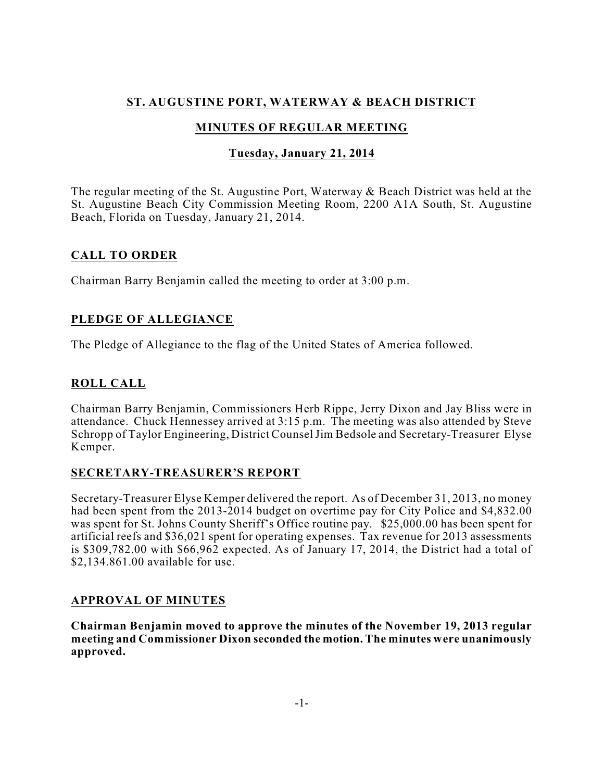# **ST. AUGUSTINE PORT, WATERWAY & BEACH DISTRICT**

# **MINUTES OF REGULAR MEETING**

## **Tuesday, January 21, 2014**

The regular meeting of the St. Augustine Port, Waterway & Beach District was held at the St. Augustine Beach City Commission Meeting Room, 2200 A1A South, St. Augustine Beach, Florida on Tuesday, January 21, 2014.

## **CALL TO ORDER**

Chairman Barry Benjamin called the meeting to order at 3:00 p.m.

## **PLEDGE OF ALLEGIANCE**

The Pledge of Allegiance to the flag of the United States of America followed.

## **ROLL CALL**

Chairman Barry Benjamin, Commissioners Herb Rippe, Jerry Dixon and Jay Bliss were in attendance. Chuck Hennessey arrived at 3:15 p.m. The meeting was also attended by Steve Schropp of Taylor Engineering, District CounselJim Bedsole and Secretary-Treasurer Elyse Kemper.

## **SECRETARY-TREASURER'S REPORT**

Secretary-Treasurer Elyse Kemper delivered the report. As of December 31, 2013, no money had been spent from the 2013-2014 budget on overtime pay for City Police and \$4,832.00 was spent for St. Johns County Sheriff's Office routine pay. \$25,000.00 has been spent for artificial reefs and \$36,021 spent for operating expenses. Tax revenue for 2013 assessments is \$309,782.00 with \$66,962 expected. As of January 17, 2014, the District had a total of \$2,134.861.00 available for use.

## **APPROVAL OF MINUTES**

**Chairman Benjamin moved to approve the minutes of the November 19, 2013 regular meeting and Commissioner Dixon seconded the motion. The minutes were unanimously approved.**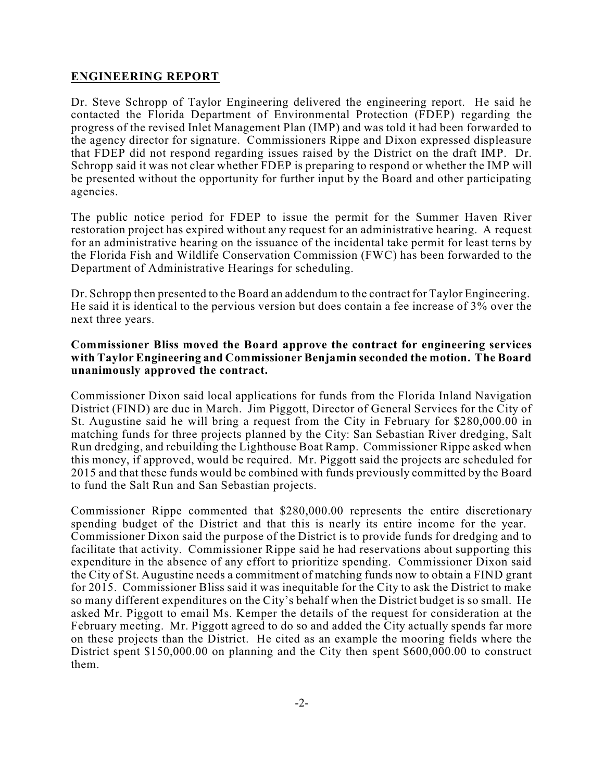### **ENGINEERING REPORT**

Dr. Steve Schropp of Taylor Engineering delivered the engineering report. He said he contacted the Florida Department of Environmental Protection (FDEP) regarding the progress of the revised Inlet Management Plan (IMP) and was told it had been forwarded to the agency director for signature. Commissioners Rippe and Dixon expressed displeasure that FDEP did not respond regarding issues raised by the District on the draft IMP. Dr. Schropp said it was not clear whether FDEP is preparing to respond or whether the IMP will be presented without the opportunity for further input by the Board and other participating agencies.

The public notice period for FDEP to issue the permit for the Summer Haven River restoration project has expired without any request for an administrative hearing. A request for an administrative hearing on the issuance of the incidental take permit for least terns by the Florida Fish and Wildlife Conservation Commission (FWC) has been forwarded to the Department of Administrative Hearings for scheduling.

Dr. Schropp then presented to the Board an addendum to the contract for Taylor Engineering. He said it is identical to the pervious version but does contain a fee increase of 3% over the next three years.

#### **Commissioner Bliss moved the Board approve the contract for engineering services with Taylor Engineering and Commissioner Benjamin seconded the motion. The Board unanimously approved the contract.**

Commissioner Dixon said local applications for funds from the Florida Inland Navigation District (FIND) are due in March. Jim Piggott, Director of General Services for the City of St. Augustine said he will bring a request from the City in February for \$280,000.00 in matching funds for three projects planned by the City: San Sebastian River dredging, Salt Run dredging, and rebuilding the Lighthouse Boat Ramp. Commissioner Rippe asked when this money, if approved, would be required. Mr. Piggott said the projects are scheduled for 2015 and that these funds would be combined with funds previously committed by the Board to fund the Salt Run and San Sebastian projects.

Commissioner Rippe commented that \$280,000.00 represents the entire discretionary spending budget of the District and that this is nearly its entire income for the year. Commissioner Dixon said the purpose of the District is to provide funds for dredging and to facilitate that activity. Commissioner Rippe said he had reservations about supporting this expenditure in the absence of any effort to prioritize spending. Commissioner Dixon said the City of St. Augustine needs a commitment of matching funds now to obtain a FIND grant for 2015. Commissioner Bliss said it was inequitable for the City to ask the District to make so many different expenditures on the City's behalf when the District budget is so small. He asked Mr. Piggott to email Ms. Kemper the details of the request for consideration at the February meeting. Mr. Piggott agreed to do so and added the City actually spends far more on these projects than the District. He cited as an example the mooring fields where the District spent \$150,000.00 on planning and the City then spent \$600,000.00 to construct them.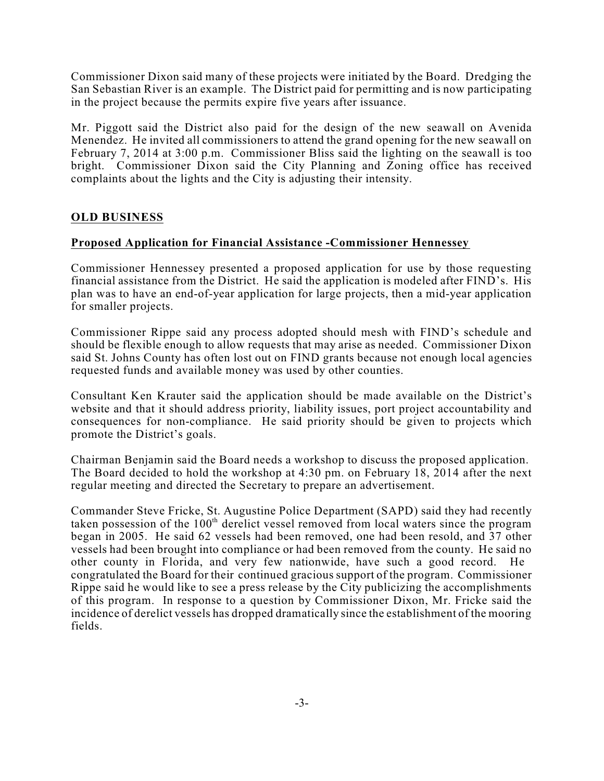Commissioner Dixon said many of these projects were initiated by the Board. Dredging the San Sebastian River is an example. The District paid for permitting and is now participating in the project because the permits expire five years after issuance.

Mr. Piggott said the District also paid for the design of the new seawall on Avenida Menendez. He invited all commissioners to attend the grand opening for the new seawall on February 7, 2014 at 3:00 p.m. Commissioner Bliss said the lighting on the seawall is too bright. Commissioner Dixon said the City Planning and Zoning office has received complaints about the lights and the City is adjusting their intensity.

## **OLD BUSINESS**

### **Proposed Application for Financial Assistance -Commissioner Hennessey**

Commissioner Hennessey presented a proposed application for use by those requesting financial assistance from the District. He said the application is modeled after FIND's. His plan was to have an end-of-year application for large projects, then a mid-year application for smaller projects.

Commissioner Rippe said any process adopted should mesh with FIND's schedule and should be flexible enough to allow requests that may arise as needed. Commissioner Dixon said St. Johns County has often lost out on FIND grants because not enough local agencies requested funds and available money was used by other counties.

Consultant Ken Krauter said the application should be made available on the District's website and that it should address priority, liability issues, port project accountability and consequences for non-compliance. He said priority should be given to projects which promote the District's goals.

Chairman Benjamin said the Board needs a workshop to discuss the proposed application. The Board decided to hold the workshop at 4:30 pm. on February 18, 2014 after the next regular meeting and directed the Secretary to prepare an advertisement.

Commander Steve Fricke, St. Augustine Police Department (SAPD) said they had recently taken possession of the  $100<sup>th</sup>$  derelict vessel removed from local waters since the program began in 2005. He said 62 vessels had been removed, one had been resold, and 37 other vessels had been brought into compliance or had been removed from the county. He said no other county in Florida, and very few nationwide, have such a good record. He congratulated the Board for their continued gracious support of the program. Commissioner Rippe said he would like to see a press release by the City publicizing the accomplishments of this program. In response to a question by Commissioner Dixon, Mr. Fricke said the incidence of derelict vessels has dropped dramatically since the establishment of the mooring fields.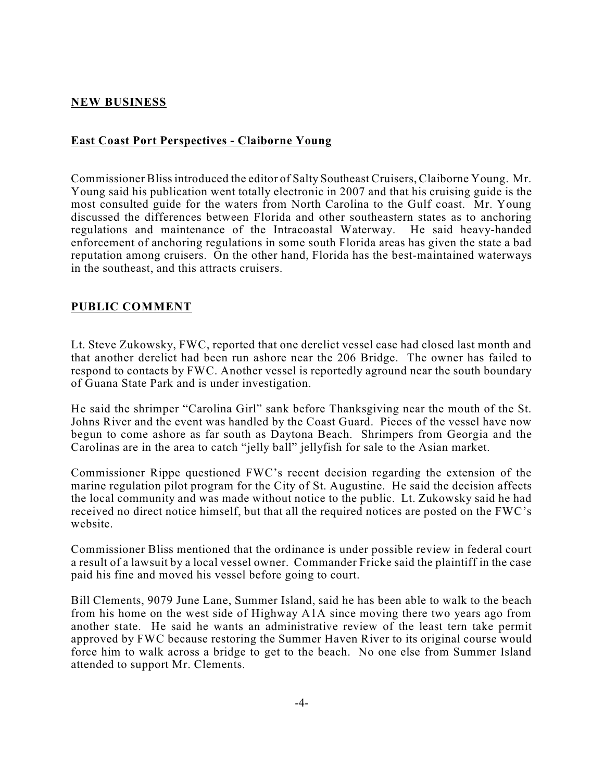## **NEW BUSINESS**

### **East Coast Port Perspectives - Claiborne Young**

Commissioner Blissintroduced the editor of Salty Southeast Cruisers, Claiborne Young. Mr. Young said his publication went totally electronic in 2007 and that his cruising guide is the most consulted guide for the waters from North Carolina to the Gulf coast. Mr. Young discussed the differences between Florida and other southeastern states as to anchoring regulations and maintenance of the Intracoastal Waterway. He said heavy-handed enforcement of anchoring regulations in some south Florida areas has given the state a bad reputation among cruisers. On the other hand, Florida has the best-maintained waterways in the southeast, and this attracts cruisers.

## **PUBLIC COMMENT**

Lt. Steve Zukowsky, FWC, reported that one derelict vessel case had closed last month and that another derelict had been run ashore near the 206 Bridge. The owner has failed to respond to contacts by FWC. Another vessel is reportedly aground near the south boundary of Guana State Park and is under investigation.

He said the shrimper "Carolina Girl" sank before Thanksgiving near the mouth of the St. Johns River and the event was handled by the Coast Guard. Pieces of the vessel have now begun to come ashore as far south as Daytona Beach. Shrimpers from Georgia and the Carolinas are in the area to catch "jelly ball" jellyfish for sale to the Asian market.

Commissioner Rippe questioned FWC's recent decision regarding the extension of the marine regulation pilot program for the City of St. Augustine. He said the decision affects the local community and was made without notice to the public. Lt. Zukowsky said he had received no direct notice himself, but that all the required notices are posted on the FWC's website.

Commissioner Bliss mentioned that the ordinance is under possible review in federal court a result of a lawsuit by a local vessel owner. Commander Fricke said the plaintiff in the case paid his fine and moved his vessel before going to court.

Bill Clements, 9079 June Lane, Summer Island, said he has been able to walk to the beach from his home on the west side of Highway A1A since moving there two years ago from another state. He said he wants an administrative review of the least tern take permit approved by FWC because restoring the Summer Haven River to its original course would force him to walk across a bridge to get to the beach. No one else from Summer Island attended to support Mr. Clements.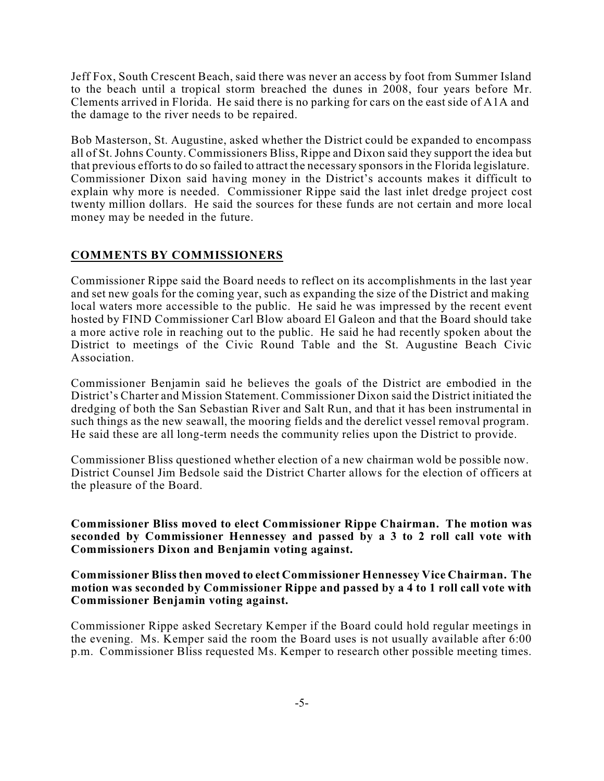Jeff Fox, South Crescent Beach, said there was never an access by foot from Summer Island to the beach until a tropical storm breached the dunes in 2008, four years before Mr. Clements arrived in Florida. He said there is no parking for cars on the east side of A1A and the damage to the river needs to be repaired.

Bob Masterson, St. Augustine, asked whether the District could be expanded to encompass all of St. Johns County. Commissioners Bliss, Rippe and Dixon said they support the idea but that previous efforts to do so failed to attract the necessary sponsors in the Florida legislature. Commissioner Dixon said having money in the District's accounts makes it difficult to explain why more is needed. Commissioner Rippe said the last inlet dredge project cost twenty million dollars. He said the sources for these funds are not certain and more local money may be needed in the future.

## **COMMENTS BY COMMISSIONERS**

Commissioner Rippe said the Board needs to reflect on its accomplishments in the last year and set new goals for the coming year, such as expanding the size of the District and making local waters more accessible to the public. He said he was impressed by the recent event hosted by FIND Commissioner Carl Blow aboard El Galeon and that the Board should take a more active role in reaching out to the public. He said he had recently spoken about the District to meetings of the Civic Round Table and the St. Augustine Beach Civic Association.

Commissioner Benjamin said he believes the goals of the District are embodied in the District's Charter and Mission Statement. Commissioner Dixon said the District initiated the dredging of both the San Sebastian River and Salt Run, and that it has been instrumental in such things as the new seawall, the mooring fields and the derelict vessel removal program. He said these are all long-term needs the community relies upon the District to provide.

Commissioner Bliss questioned whether election of a new chairman wold be possible now. District Counsel Jim Bedsole said the District Charter allows for the election of officers at the pleasure of the Board.

**Commissioner Bliss moved to elect Commissioner Rippe Chairman. The motion was seconded by Commissioner Hennessey and passed by a 3 to 2 roll call vote with Commissioners Dixon and Benjamin voting against.**

**Commissioner Blissthen moved to elect Commissioner Hennessey Vice Chairman. The motion was seconded by Commissioner Rippe and passed by a 4 to 1 roll call vote with Commissioner Benjamin voting against.**

Commissioner Rippe asked Secretary Kemper if the Board could hold regular meetings in the evening. Ms. Kemper said the room the Board uses is not usually available after 6:00 p.m. Commissioner Bliss requested Ms. Kemper to research other possible meeting times.